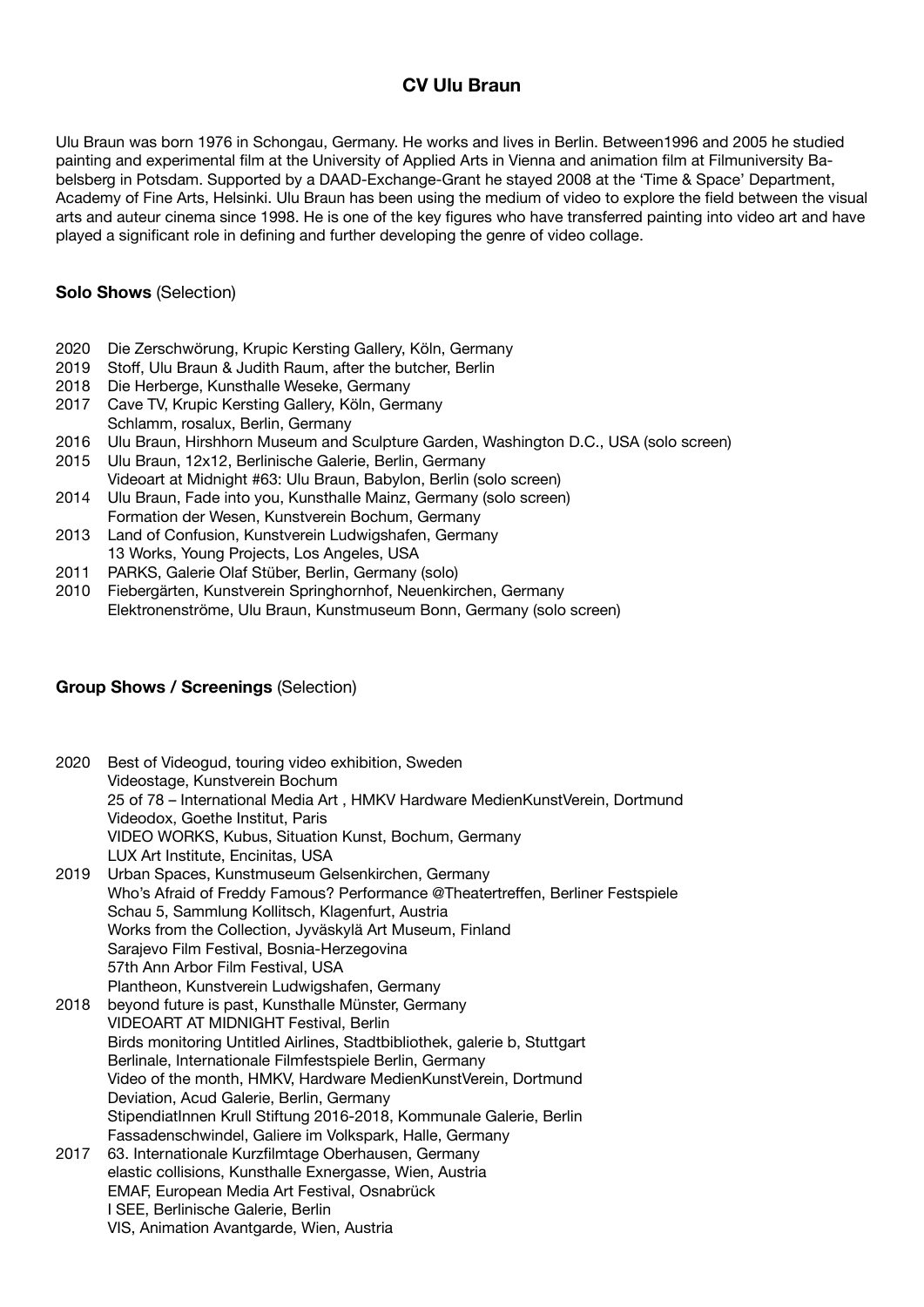## **CV Ulu Braun**

Ulu Braun was born 1976 in Schongau, Germany. He works and lives in Berlin. Between1996 and 2005 he studied painting and experimental film at the University of Applied Arts in Vienna and animation film at Filmuniversity Babelsberg in Potsdam. Supported by a DAAD-Exchange-Grant he stayed 2008 at the 'Time & Space' Department, Academy of Fine Arts, Helsinki. Ulu Braun has been using the medium of video to explore the field between the visual arts and auteur cinema since 1998. He is one of the key figures who have transferred painting into video art and have played a significant role in defining and further developing the genre of video collage.

## **Solo Shows** (Selection)

- 2020 Die Zerschwörung, Krupic Kersting Gallery, Köln, Germany
- 2019 Stoff, Ulu Braun & Judith Raum, after the butcher, Berlin
- 2018 Die Herberge, Kunsthalle Weseke, Germany
- 2017 Cave TV, Krupic Kersting Gallery, Köln, Germany Schlamm, rosalux, Berlin, Germany
- 2016 Ulu Braun, Hirshhorn Museum and Sculpture Garden, Washington D.C., USA (solo screen)
- 2015 Ulu Braun, 12x12, Berlinische Galerie, Berlin, Germany Videoart at Midnight #63: Ulu Braun, Babylon, Berlin (solo screen)
- 2014 Ulu Braun, Fade into you, Kunsthalle Mainz, Germany (solo screen) Formation der Wesen, Kunstverein Bochum, Germany
- 2013 Land of Confusion, Kunstverein Ludwigshafen, Germany 13 Works, Young Projects, Los Angeles, USA
- 2011 PARKS, Galerie Olaf Stüber, Berlin, Germany (solo)
- 2010 Fiebergärten, Kunstverein Springhornhof, Neuenkirchen, Germany Elektronenströme, Ulu Braun, Kunstmuseum Bonn, Germany (solo screen)

## **Group Shows / Screenings** (Selection)

| 2020 | Best of Videogud, touring video exhibition, Sweden<br>Videostage, Kunstverein Bochum<br>25 of 78 - International Media Art, HMKV Hardware MedienKunstVerein, Dortmund<br>Videodox, Goethe Institut, Paris |
|------|-----------------------------------------------------------------------------------------------------------------------------------------------------------------------------------------------------------|
|      | VIDEO WORKS, Kubus, Situation Kunst, Bochum, Germany                                                                                                                                                      |
| 2019 | LUX Art Institute, Encinitas, USA<br>Urban Spaces, Kunstmuseum Gelsenkirchen, Germany                                                                                                                     |
|      | Who's Afraid of Freddy Famous? Performance @Theatertreffen, Berliner Festspiele                                                                                                                           |
|      | Schau 5, Sammlung Kollitsch, Klagenfurt, Austria                                                                                                                                                          |
|      | Works from the Collection, Jyväskylä Art Museum, Finland                                                                                                                                                  |
|      | Sarajevo Film Festival, Bosnia-Herzegovina                                                                                                                                                                |
|      | 57th Ann Arbor Film Festival, USA                                                                                                                                                                         |
|      | Plantheon, Kunstverein Ludwigshafen, Germany                                                                                                                                                              |
| 2018 | beyond future is past, Kunsthalle Münster, Germany                                                                                                                                                        |
|      | VIDEOART AT MIDNIGHT Festival, Berlin                                                                                                                                                                     |
|      | Birds monitoring Untitled Airlines, Stadtbibliothek, galerie b, Stuttgart                                                                                                                                 |
|      | Berlinale, Internationale Filmfestspiele Berlin, Germany                                                                                                                                                  |
|      | Video of the month, HMKV, Hardware MedienKunstVerein, Dortmund                                                                                                                                            |
|      | Deviation, Acud Galerie, Berlin, Germany                                                                                                                                                                  |
|      | StipendiatInnen Krull Stiftung 2016-2018, Kommunale Galerie, Berlin                                                                                                                                       |

Fassadenschwindel, Galiere im Volkspark, Halle, Germany<br>2017 63. Internationale Kurzfilmtage Oberhausen. Germany 63. Internationale Kurzfilmtage Oberhausen, Germany elastic collisions, Kunsthalle Exnergasse, Wien, Austria EMAF, European Media Art Festival, Osnabrück I SEE, Berlinische Galerie, Berlin VIS, Animation Avantgarde, Wien, Austria